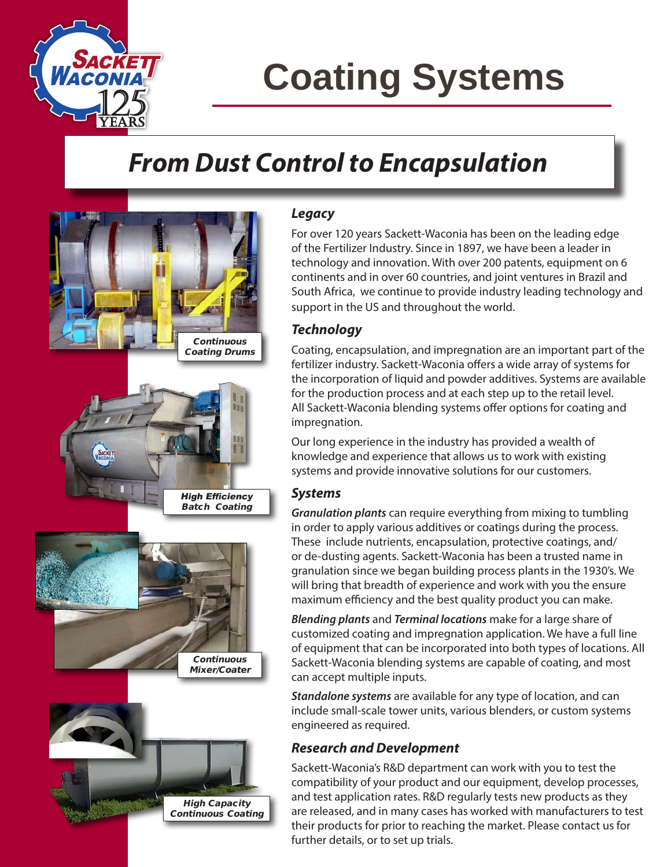

# **Coating Systems**

# *From Dust Control to Encapsulation*



#### *Legacy*

For over 120 years Sackett-Waconia has been on the leading edge of the Fertilizer Industry. Since in 1897, we have been a leader in technology and innovation. With over 200 patents, equipment on 6 continents and in over 60 countries, and joint ventures in Brazil and South Africa, we continue to provide industry leading technology and support in the US and throughout the world.

### *Technology*

Coating, encapsulation, and impregnation are an important part of the fertilizer industry. Sackett-Waconia offers a wide array of systems for the incorporation of liquid and powder additives. Systems are available for the production process and at each step up to the retail level. All Sackett-Waconia blending systems offer options for coating and impregnation.

Our long experience in the industry has provided a wealth of knowledge and experience that allows us to work with existing systems and provide innovative solutions for our customers.

### *Systems*

*Granulation plants* can require everything from mixing to tumbling in order to apply various additives or coatings during the process. These include nutrients, encapsulation, protective coatings, and/ or de-dusting agents. Sackett-Waconia has been a trusted name in granulation since we began building process plants in the 1930's. We will bring that breadth of experience and work with you the ensure maximum efficiency and the best quality product you can make.

*Blending plants* and *Terminal locations* make for a large share of customized coating and impregnation application. We have a full line of equipment that can be incorporated into both types of locations. All Sackett-Waconia blending systems are capable of coating, and most can accept multiple inputs.

*Standalone systems* are available for any type of location, and can include small-scale tower units, various blenders, or custom systems engineered as required.

#### *Research and Development*

Sackett-Waconia's R&D department can work with you to test the compatibility of your product and our equipment, develop processes, and test application rates. R&D regularly tests new products as they are released, and in many cases has worked with manufacturers to test their products for prior to reaching the market. Please contact us for further details, or to set up trials.